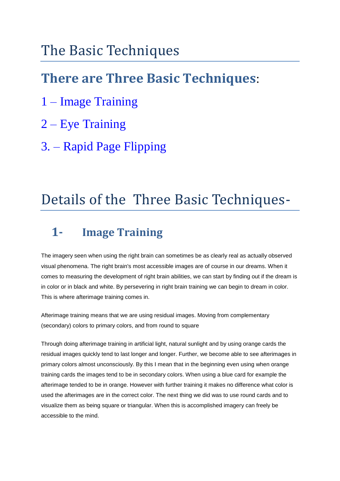# The Basic Techniques

# **There are Three Basic Techniques**:

- 1 Image Training
- 2 Eye Training
- 3. Rapid Page Flipping

# Details of the Three Basic Techniques-

# **1- Image Training**

The imagery seen when using the right brain can sometimes be as clearly real as actually observed visual phenomena. The right brain's most accessible images are of course in our dreams. When it comes to measuring the development of right brain abilities, we can start by finding out if the dream is in color or in black and white. By persevering in right brain training we can begin to dream in color. This is where afterimage training comes in.

Afterimage training means that we are using residual images. Moving from complementary (secondary) colors to primary colors, and from round to square

Through doing afterimage training in artificial light, natural sunlight and by using orange cards the residual images quickly tend to last longer and longer. Further, we become able to see afterimages in primary colors almost unconsciously. By this I mean that in the beginning even using when orange training cards the images tend to be in secondary colors. When using a blue card for example the afterimage tended to be in orange. However with further training it makes no difference what color is used the afterimages are in the correct color. The next thing we did was to use round cards and to visualize them as being square or triangular. When this is accomplished imagery can freely be accessible to the mind.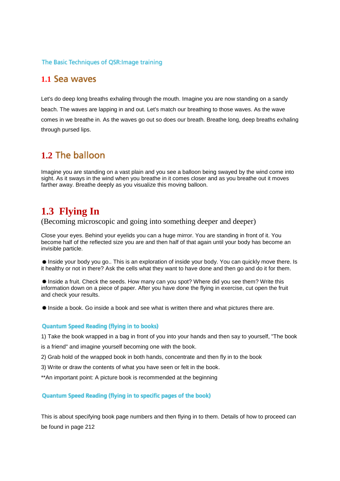### The Basic Techniques of QSR: Image training

## **1.1**

Let's do deep long breaths exhaling through the mouth. Imagine you are now standing on a sandy beach. The waves are lapping in and out. Let's match our breathing to those waves. As the wave comes in we breathe in. As the waves go out so does our breath. Breathe long, deep breaths exhaling through pursed lips.

# **1.2**

Imagine you are standing on a vast plain and you see a balloon being swayed by the wind come into sight. As it sways in the wind when you breathe in it comes closer and as you breathe out it moves farther away. Breathe deeply as you visualize this moving balloon.

# **1.3 Flying In**

(Becoming microscopic and going into something deeper and deeper)

Close your eyes. Behind your eyelids you can a huge mirror. You are standing in front of it. You become half of the reflected size you are and then half of that again until your body has become an invisible particle.

Inside your body you go.. This is an exploration of inside your body. You can quickly move there. Is it healthy or not in there? Ask the cells what they want to have done and then go and do it for them.

Inside a fruit. Check the seeds. How many can you spot? Where did you see them? Write this information down on a piece of paper. After you have done the flying in exercise, cut open the fruit and check your results.

Inside a book. Go inside a book and see what is written there and what pictures there are.

### **Quantum Speed Reading (flying in to books)**

1) Take the book wrapped in a bag in front of you into your hands and then say to yourself, "The book

is a friend" and imagine yourself becoming one with the book.

2) Grab hold of the wrapped book in both hands, concentrate and then fly in to the book

- 3) Write or draw the contents of what you have seen or felt in the book.
- \*\*An important point: A picture book is recommended at the beginning

#### Quantum Speed Reading (flying in to specific pages of the book)

This is about specifying book page numbers and then flying in to them. Details of how to proceed can be found in page 212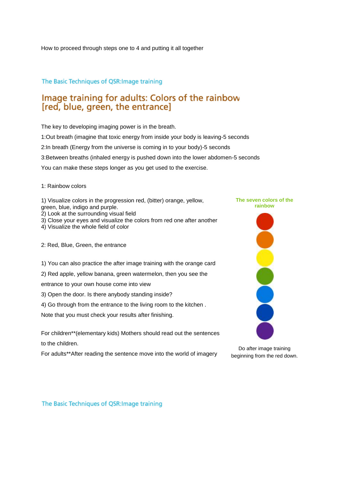How to proceed through steps one to 4 and putting it all together

## The Basic Techniques of QSR: Image training

## Image training for adults: Colors of the rainbow [red, blue, green, the entrance]

The key to developing imaging power is in the breath.

1:Out breath (imagine that toxic energy from inside your body is leaving-5 seconds

2:In breath (Energy from the universe is coming in to your body)-5 seconds

3:Between breaths (inhaled energy is pushed down into the lower abdomen-5 seconds

You can make these steps longer as you get used to the exercise.

- 1: Rainbow colors
- 1) Visualize colors in the progression red, (bitter) orange, yellow, green, blue, indigo and purple. 2) Look at the surrounding visual field
- 3) Close your eyes and visualize the colors from red one after another
- 4) Visualize the whole field of color

2: Red, Blue, Green, the entrance

- 1) You can also practice the after image training with the orange card
- 2) Red apple, yellow banana, green watermelon, then you see the
- entrance to your own house come into view
- 3) Open the door. Is there anybody standing inside?
- 4) Go through from the entrance to the living room to the kitchen .

Note that you must check your results after finishing.

For children\*\*(elementary kids) Mothers should read out the sentences to the children.

For adults\*\*After reading the sentence move into the world of imagery



Do after image training beginning from the red down.

The Basic Techniques of QSR: Image training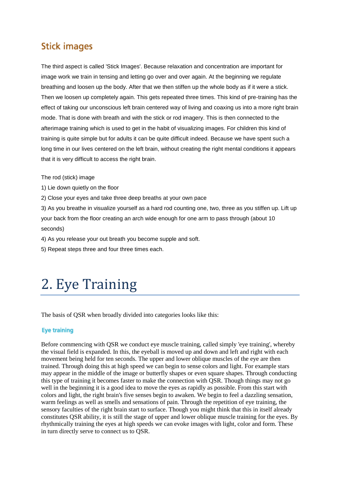## **Stick images**

The third aspect is called 'Stick Images'. Because relaxation and concentration are important for image work we train in tensing and letting go over and over again. At the beginning we regulate breathing and loosen up the body. After that we then stiffen up the whole body as if it were a stick. Then we loosen up completely again. This gets repeated three times. This kind of pre-training has the effect of taking our unconscious left brain centered way of living and coaxing us into a more right brain mode. That is done with breath and with the stick or rod imagery. This is then connected to the afterimage training which is used to get in the habit of visualizing images. For children this kind of training is quite simple but for adults it can be quite difficult indeed. Because we have spent such a long time in our lives centered on the left brain, without creating the right mental conditions it appears that it is very difficult to access the right brain.

The rod (stick) image

1) Lie down quietly on the floor

2) Close your eyes and take three deep breaths at your own pace

3) As you breathe in visualize yourself as a hard rod counting one, two, three as you stiffen up. Lift up your back from the floor creating an arch wide enough for one arm to pass through (about 10 seconds)

4) As you release your out breath you become supple and soft.

5) Repeat steps three and four three times each.

# 2. Eye Training

The basis of QSR when broadly divided into categories looks like this:

### **Eye training**

Before commencing with QSR we conduct eye muscle training, called simply 'eye training', whereby the visual field is expanded. In this, the eyeball is moved up and down and left and right with each movement being held for ten seconds. The upper and lower oblique muscles of the eye are then trained. Through doing this at high speed we can begin to sense colors and light. For example stars may appear in the middle of the image or butterfly shapes or even square shapes. Through conducting this type of training it becomes faster to make the connection with QSR. Though things may not go well in the beginning it is a good idea to move the eyes as rapidly as possible. From this start with colors and light, the right brain's five senses begin to awaken. We begin to feel a dazzling sensation, warm feelings as well as smells and sensations of pain. Through the repetition of eye training, the sensory faculties of the right brain start to surface. Though you might think that this in itself already constitutes QSR ability, it is still the stage of upper and lower oblique muscle training for the eyes. By rhythmically training the eyes at high speeds we can evoke images with light, color and form. These in turn directly serve to connect us to QSR.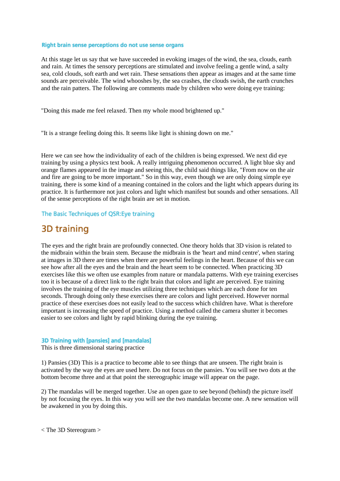#### Right brain sense perceptions do not use sense organs

At this stage let us say that we have succeeded in evoking images of the wind, the sea, clouds, earth and rain. At times the sensory perceptions are stimulated and involve feeling a gentle wind, a salty sea, cold clouds, soft earth and wet rain. These sensations then appear as images and at the same time sounds are perceivable. The wind whooshes by, the sea crashes, the clouds swish, the earth crunches and the rain patters. The following are comments made by children who were doing eye training:

"Doing this made me feel relaxed. Then my whole mood brightened up."

"It is a strange feeling doing this. It seems like light is shining down on me."

Here we can see how the individuality of each of the children is being expressed. We next did eye training by using a physics text book. A really intriguing phenomenon occurred. A light blue sky and orange flames appeared in the image and seeing this, the child said things like, "From now on the air and fire are going to be more important." So in this way, even though we are only doing simple eye training, there is some kind of a meaning contained in the colors and the light which appears during its practice. It is furthermore not just colors and light which manifest but sounds and other sensations. All of the sense perceptions of the right brain are set in motion.

The Basic Techniques of QSR: Eye training

## 3D training

The eyes and the right brain are profoundly connected. One theory holds that 3D vision is related to the midbrain within the brain stem. Because the midbrain is the 'heart and mind centre', when staring at images in 3D there are times when there are powerful feelings in the heart. Because of this we can see how after all the eyes and the brain and the heart seem to be connected. When practicing 3D exercises like this we often use examples from nature or mandala patterns. With eye training exercises too it is because of a direct link to the right brain that colors and light are perceived. Eye training involves the training of the eye muscles utilizing three techniques which are each done for ten seconds. Through doing only these exercises there are colors and light perceived. However normal practice of these exercises does not easily lead to the success which children have. What is therefore important is increasing the speed of practice. Using a method called the camera shutter it becomes easier to see colors and light by rapid blinking during the eye training.

### 3D Training with [pansies] and [mandalas]

This is three dimensional staring practice

1) Pansies (3D) This is a practice to become able to see things that are unseen. The right brain is activated by the way the eyes are used here. Do not focus on the pansies. You will see two dots at the bottom become three and at that point the stereographic image will appear on the page.

2) The mandalas will be merged together. Use an open gaze to see beyond (behind) the picture itself by not focusing the eyes. In this way you will see the two mandalas become one. A new sensation will be awakened in you by doing this.

< The 3D Stereogram >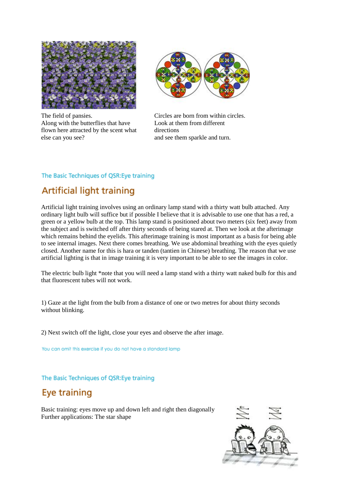

The field of pansies. Along with the butterflies that have flown here attracted by the scent what else can you see?



Circles are born from within circles. Look at them from different directions and see them sparkle and turn.

## The Basic Techniques of QSR: Eye training

# **Artificial light training**

Artificial light training involves using an ordinary lamp stand with a thirty watt bulb attached. Any ordinary light bulb will suffice but if possible I believe that it is advisable to use one that has a red, a green or a yellow bulb at the top. This lamp stand is positioned about two meters (six feet) away from the subject and is switched off after thirty seconds of being stared at. Then we look at the afterimage which remains behind the eyelids. This afterimage training is most important as a basis for being able to see internal images. Next there comes breathing. We use abdominal breathing with the eyes quietly closed. Another name for this is hara or tanden (tantien in Chinese) breathing. The reason that we use artificial lighting is that in image training it is very important to be able to see the images in color.

The electric bulb light \*note that you will need a lamp stand with a thirty watt naked bulb for this and that fluorescent tubes will not work.

1) Gaze at the light from the bulb from a distance of one or two metres for about thirty seconds without blinking.

2) Next switch off the light, close your eyes and observe the after image.

You can omit this exercise if you do not have a standard lamp

The Basic Techniques of QSR: Eye training

# Eye training

Basic training: eyes move up and down left and right then diagonally Further applications: The star shape

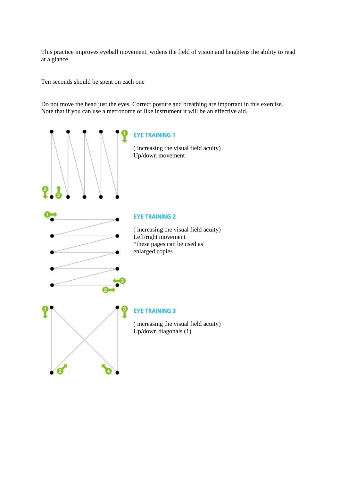This practice improves eyeball movement, widens the field of vision and heightens the ability to read at a glance

Ten seconds should be spent on each one

Do not move the head just the eyes. Correct posture and breathing are important in this exercise. Note that if you can use a metronome or like instrument it will be an effective aid.

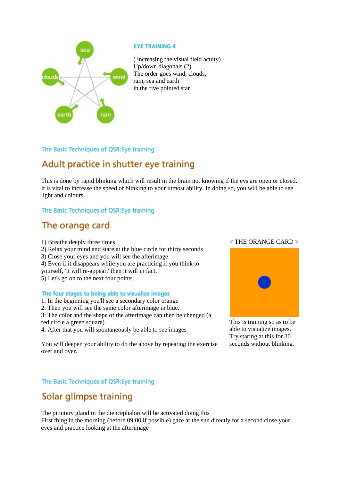![](_page_7_Picture_0.jpeg)

### **EYE TRAINING 4**

( increasing the visual field acuity) Up/down diagonals (2) The order goes wind, clouds, rain, sea and earth in the five pointed star

## The Basic Techniques of QSR: Eye training

# Adult practice in shutter eye training

This is done by rapid blinking which will result in the brain not knowing if the eys are open or closed. It is vital to increase the speed of blinking to your utmost ability. In doing so, you will be able to see light and colours.

## The Basic Techniques of QSR: Eye training

## The orange card

1) Breathe deeply three times 2) Relax your mind and stare at the blue circle for thirty seconds 3) Close your eyes and you will see the afterimage 4) Even if it disappears while you are practicing if you think to yourself, 'It will re-appear,' then it will in fact. 5) Let's go on to the next four points.

### The four stages to being able to visualize images

1: In the beginning you'll see a secondary color orange

2: Then you will see the same color afterimage in blue.

3: The color and the shape of the afterimage can then be changed (a red circle a green square)

4: After that you will spontaneously be able to see images

You will deepen your ability to do the above by repeating the exercise over and over.

## The Basic Techniques of QSR: Eye training

# Solar glimpse training

The pituitary gland in the diencephalon will be activated doing this First thing in the morning (before 09:00 if possible) gaze at the sun directly for a second close your eyes and practice looking at the afterimage

## < THE ORANGE CARD >

![](_page_7_Picture_19.jpeg)

This is training so as to be able to visualize images. Try staring at this for 30 seconds without blinking.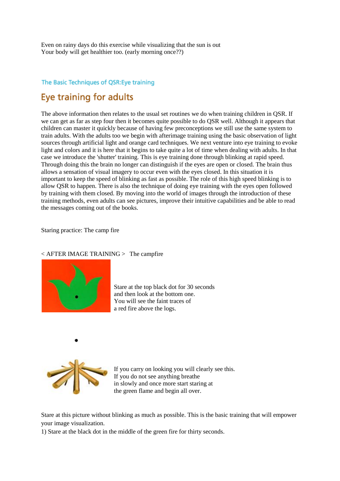Even on rainy days do this exercise while visualizing that the sun is out Your body will get healthier too. (early morning once??)

## The Basic Techniques of QSR: Eye training

# Eve training for adults

The above information then relates to the usual set routines we do when training children in QSR. If we can get as far as step four then it becomes quite possible to do QSR well. Although it appears that children can master it quickly because of having few preconceptions we still use the same system to train adults. With the adults too we begin with afterimage training using the basic observation of light sources through artificial light and orange card techniques. We next venture into eye training to evoke light and colors and it is here that it begins to take quite a lot of time when dealing with adults. In that case we introduce the 'shutter' training. This is eye training done through blinking at rapid speed. Through doing this the brain no longer can distinguish if the eyes are open or closed. The brain thus allows a sensation of visual imagery to occur even with the eyes closed. In this situation it is important to keep the speed of blinking as fast as possible. The role of this high speed blinking is to allow QSR to happen. There is also the technique of doing eye training with the eyes open followed by training with them closed. By moving into the world of images through the introduction of these training methods, even adults can see pictures, improve their intuitive capabilities and be able to read the messages coming out of the books.

Staring practice: The camp fire

### $\langle$  AFTER IMAGE TRAINING  $>$  The campfire

![](_page_8_Picture_6.jpeg)

Stare at the top black dot for 30 seconds and then look at the bottom one. You will see the faint traces of a red fire above the logs.

![](_page_8_Picture_8.jpeg)

If you carry on looking you will clearly see this. If you do not see anything breathe in slowly and once more start staring at the green flame and begin all over.

Stare at this picture without blinking as much as possible. This is the basic training that will empower your image visualization.

1) Stare at the black dot in the middle of the green fire for thirty seconds.